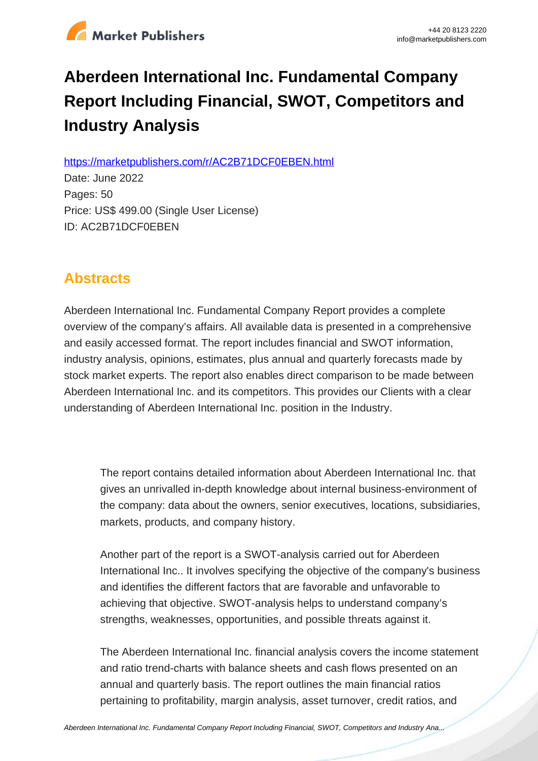

# **Aberdeen International Inc. Fundamental Company Report Including Financial, SWOT, Competitors and Industry Analysis**

https://marketpublishers.com/r/AC2B71DCF0EBEN.html

Date: June 2022 Pages: 50 Price: US\$ 499.00 (Single User License) ID: AC2B71DCF0EBEN

# **Abstracts**

Aberdeen International Inc. Fundamental Company Report provides a complete overview of the company's affairs. All available data is presented in a comprehensive and easily accessed format. The report includes financial and SWOT information, industry analysis, opinions, estimates, plus annual and quarterly forecasts made by stock market experts. The report also enables direct comparison to be made between Aberdeen International Inc. and its competitors. This provides our Clients with a clear understanding of Aberdeen International Inc. position in the Industry.

The report contains detailed information about Aberdeen International Inc. that gives an unrivalled in-depth knowledge about internal business-environment of the company: data about the owners, senior executives, locations, subsidiaries, markets, products, and company history.

Another part of the report is a SWOT-analysis carried out for Aberdeen International Inc.. It involves specifying the objective of the company's business and identifies the different factors that are favorable and unfavorable to achieving that objective. SWOT-analysis helps to understand company's strengths, weaknesses, opportunities, and possible threats against it.

The Aberdeen International Inc. financial analysis covers the income statement and ratio trend-charts with balance sheets and cash flows presented on an annual and quarterly basis. The report outlines the main financial ratios pertaining to profitability, margin analysis, asset turnover, credit ratios, and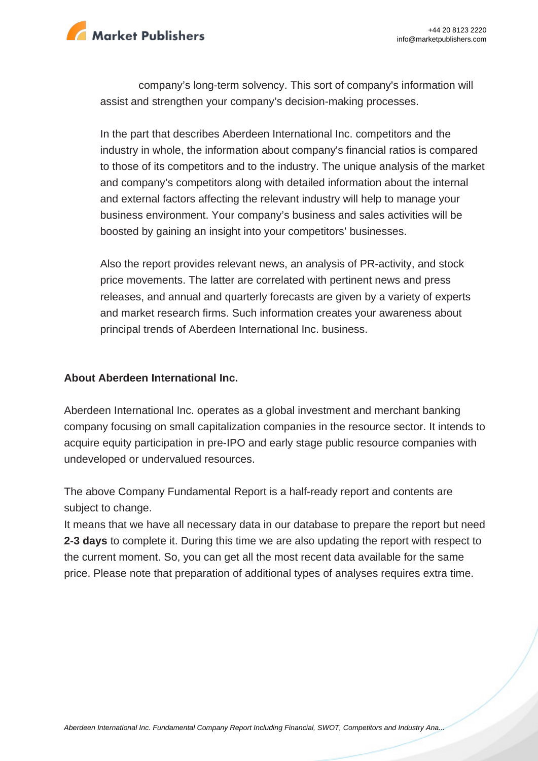

company's long-term solvency. This sort of company's information will assist and strengthen your company's decision-making processes.

In the part that describes Aberdeen International Inc. competitors and the industry in whole, the information about company's financial ratios is compared to those of its competitors and to the industry. The unique analysis of the market and company's competitors along with detailed information about the internal and external factors affecting the relevant industry will help to manage your business environment. Your company's business and sales activities will be boosted by gaining an insight into your competitors' businesses.

Also the report provides relevant news, an analysis of PR-activity, and stock price movements. The latter are correlated with pertinent news and press releases, and annual and quarterly forecasts are given by a variety of experts and market research firms. Such information creates your awareness about principal trends of Aberdeen International Inc. business.

#### **About Aberdeen International Inc.**

Aberdeen International Inc. operates as a global investment and merchant banking company focusing on small capitalization companies in the resource sector. It intends to acquire equity participation in pre-IPO and early stage public resource companies with undeveloped or undervalued resources.

The above Company Fundamental Report is a half-ready report and contents are subject to change.

It means that we have all necessary data in our database to prepare the report but need **2-3 days** to complete it. During this time we are also updating the report with respect to the current moment. So, you can get all the most recent data available for the same price. Please note that preparation of additional types of analyses requires extra time.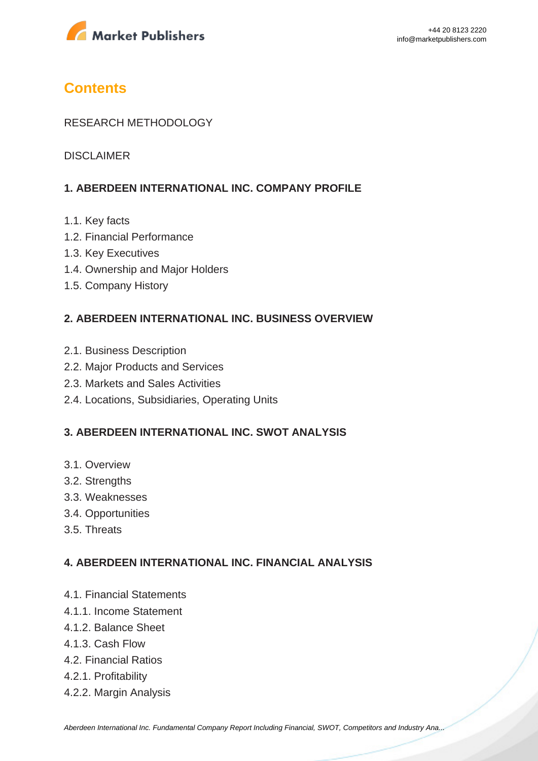

# **Contents**

#### RESEARCH METHODOLOGY

DISCLAIMER

# **1. ABERDEEN INTERNATIONAL INC. COMPANY PROFILE**

- 1.1. Key facts
- 1.2. Financial Performance
- 1.3. Key Executives
- 1.4. Ownership and Major Holders
- 1.5. Company History

#### **2. ABERDEEN INTERNATIONAL INC. BUSINESS OVERVIEW**

- 2.1. Business Description
- 2.2. Major Products and Services
- 2.3. Markets and Sales Activities
- 2.4. Locations, Subsidiaries, Operating Units

#### **3. ABERDEEN INTERNATIONAL INC. SWOT ANALYSIS**

- 3.1. Overview
- 3.2. Strengths
- 3.3. Weaknesses
- 3.4. Opportunities
- 3.5. Threats

### **4. ABERDEEN INTERNATIONAL INC. FINANCIAL ANALYSIS**

- 4.1. Financial Statements
- 4.1.1. Income Statement
- 4.1.2. Balance Sheet
- 4.1.3. Cash Flow
- 4.2. Financial Ratios
- 4.2.1. Profitability
- 4.2.2. Margin Analysis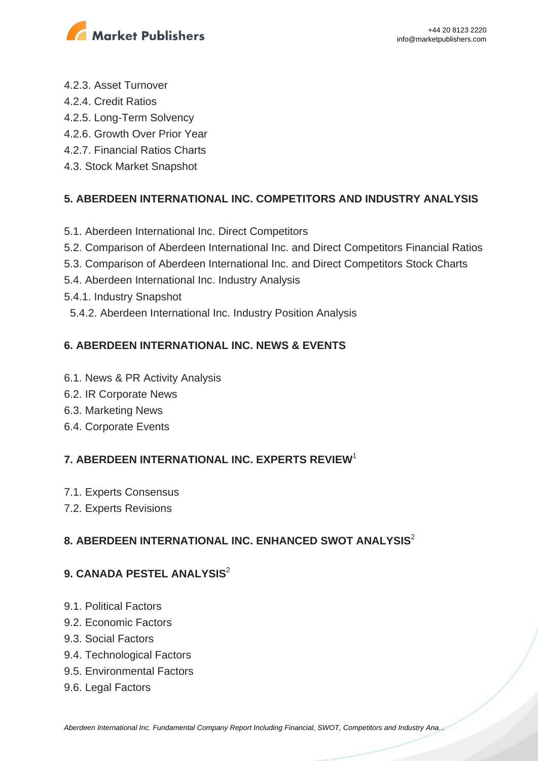

- 4.2.3. Asset Turnover
- 4.2.4. Credit Ratios
- 4.2.5. Long-Term Solvency
- 4.2.6. Growth Over Prior Year
- 4.2.7. Financial Ratios Charts
- 4.3. Stock Market Snapshot

# **5. ABERDEEN INTERNATIONAL INC. COMPETITORS AND INDUSTRY ANALYSIS**

- 5.1. Aberdeen International Inc. Direct Competitors
- 5.2. Comparison of Aberdeen International Inc. and Direct Competitors Financial Ratios
- 5.3. Comparison of Aberdeen International Inc. and Direct Competitors Stock Charts
- 5.4. Aberdeen International Inc. Industry Analysis
- 5.4.1. Industry Snapshot
- 5.4.2. Aberdeen International Inc. Industry Position Analysis

# **6. ABERDEEN INTERNATIONAL INC. NEWS & EVENTS**

- 6.1. News & PR Activity Analysis
- 6.2. IR Corporate News
- 6.3. Marketing News
- 6.4. Corporate Events

# **7. ABERDEEN INTERNATIONAL INC. EXPERTS REVIEW**<sup>1</sup>

- 7.1. Experts Consensus
- 7.2. Experts Revisions

# **8. ABERDEEN INTERNATIONAL INC. ENHANCED SWOT ANALYSIS**<sup>2</sup>

# **9. CANADA PESTEL ANALYSIS**<sup>2</sup>

- 9.1. Political Factors
- 9.2. Economic Factors
- 9.3. Social Factors
- 9.4. Technological Factors
- 9.5. Environmental Factors
- 9.6. Legal Factors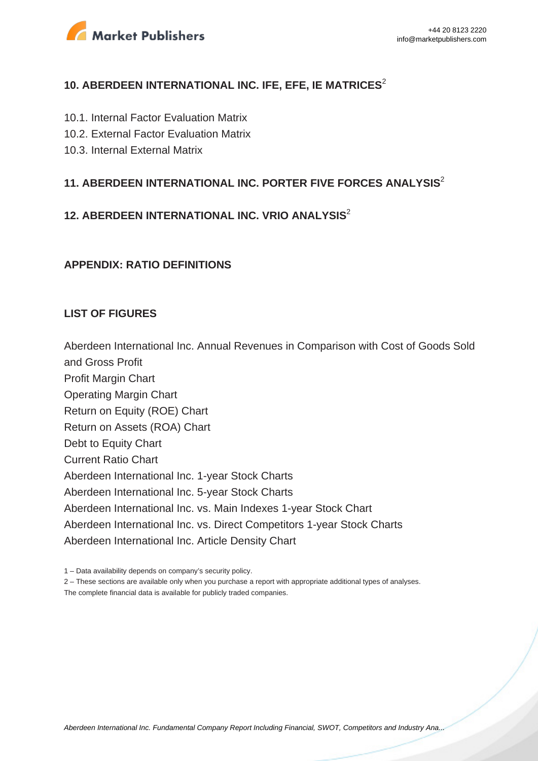

### **10. ABERDEEN INTERNATIONAL INC. IFE, EFE, IE MATRICES<sup>2</sup>**

- 10.1. Internal Factor Evaluation Matrix
- 10.2. External Factor Evaluation Matrix
- 10.3. Internal External Matrix

### **11. ABERDEEN INTERNATIONAL INC. PORTER FIVE FORCES ANALYSIS**<sup>2</sup>

# **12. ABERDEEN INTERNATIONAL INC. VRIO ANALYSIS**<sup>2</sup>

#### **APPENDIX: RATIO DEFINITIONS**

#### **LIST OF FIGURES**

Aberdeen International Inc. Annual Revenues in Comparison with Cost of Goods Sold and Gross Profit Profit Margin Chart Operating Margin Chart Return on Equity (ROE) Chart Return on Assets (ROA) Chart Debt to Equity Chart Current Ratio Chart Aberdeen International Inc. 1-year Stock Charts Aberdeen International Inc. 5-year Stock Charts Aberdeen International Inc. vs. Main Indexes 1-year Stock Chart Aberdeen International Inc. vs. Direct Competitors 1-year Stock Charts Aberdeen International Inc. Article Density Chart

1 – Data availability depends on company's security policy.

2 – These sections are available only when you purchase a report with appropriate additional types of analyses. The complete financial data is available for publicly traded companies.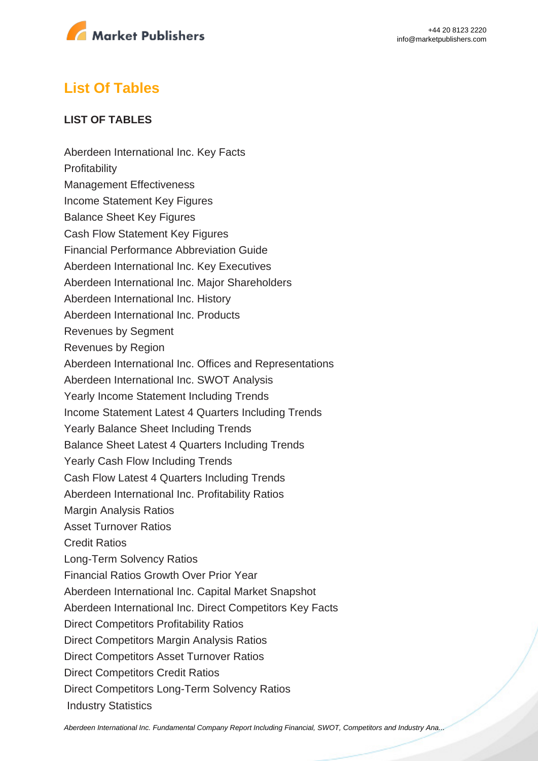

# **List Of Tables**

### **LIST OF TABLES**

Aberdeen International Inc. Key Facts **Profitability** Management Effectiveness Income Statement Key Figures Balance Sheet Key Figures Cash Flow Statement Key Figures Financial Performance Abbreviation Guide Aberdeen International Inc. Key Executives Aberdeen International Inc. Major Shareholders Aberdeen International Inc. History Aberdeen International Inc. Products Revenues by Segment Revenues by Region Aberdeen International Inc. Offices and Representations Aberdeen International Inc. SWOT Analysis Yearly Income Statement Including Trends Income Statement Latest 4 Quarters Including Trends Yearly Balance Sheet Including Trends Balance Sheet Latest 4 Quarters Including Trends Yearly Cash Flow Including Trends Cash Flow Latest 4 Quarters Including Trends Aberdeen International Inc. Profitability Ratios Margin Analysis Ratios Asset Turnover Ratios Credit Ratios Long-Term Solvency Ratios Financial Ratios Growth Over Prior Year Aberdeen International Inc. Capital Market Snapshot Aberdeen International Inc. Direct Competitors Key Facts Direct Competitors Profitability Ratios Direct Competitors Margin Analysis Ratios Direct Competitors Asset Turnover Ratios Direct Competitors Credit Ratios Direct Competitors Long-Term Solvency Ratios Industry Statistics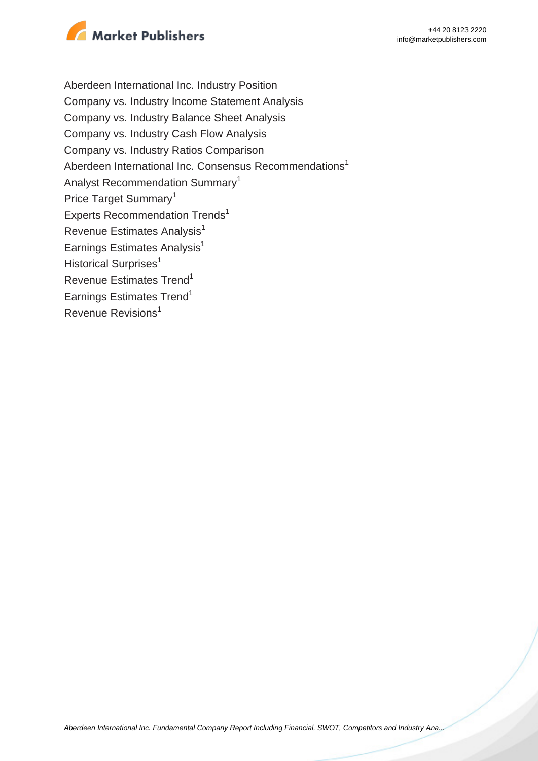

Aberdeen International Inc. Industry Position Company vs. Industry Income Statement Analysis Company vs. Industry Balance Sheet Analysis Company vs. Industry Cash Flow Analysis Company vs. Industry Ratios Comparison Aberdeen International Inc. Consensus Recommendations<sup>1</sup> Analyst Recommendation Summary<sup>1</sup> Price Target Summary<sup>1</sup> Experts Recommendation Trends<sup>1</sup> Revenue Estimates Analysis<sup>1</sup> Earnings Estimates Analysis $<sup>1</sup>$ </sup> Historical Surprises<sup>1</sup> Revenue Estimates Trend<sup>1</sup> Earnings Estimates Trend<sup>1</sup> Revenue Revisions<sup>1</sup>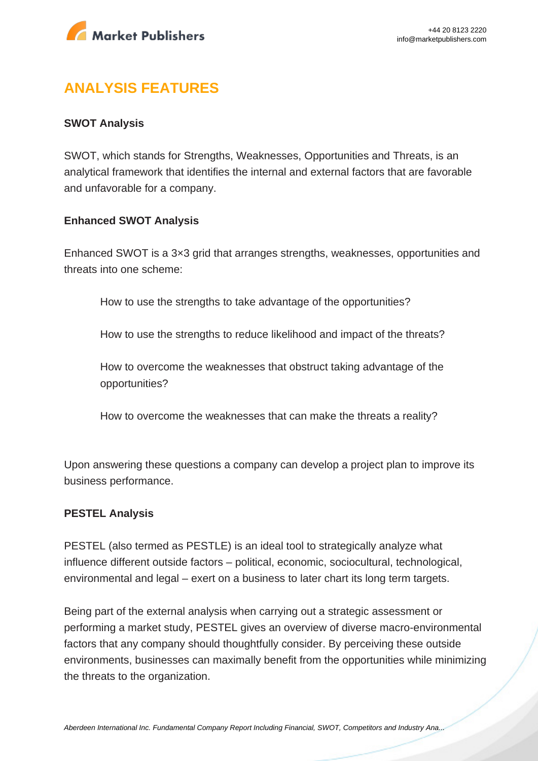

# **ANALYSIS FEATURES**

#### **SWOT Analysis**

SWOT, which stands for Strengths, Weaknesses, Opportunities and Threats, is an analytical framework that identifies the internal and external factors that are favorable and unfavorable for a company.

#### **Enhanced SWOT Analysis**

Enhanced SWOT is a 3×3 grid that arranges strengths, weaknesses, opportunities and threats into one scheme:

How to use the strengths to take advantage of the opportunities?

How to use the strengths to reduce likelihood and impact of the threats?

How to overcome the weaknesses that obstruct taking advantage of the opportunities?

How to overcome the weaknesses that can make the threats a reality?

Upon answering these questions a company can develop a project plan to improve its business performance.

#### **PESTEL Analysis**

PESTEL (also termed as PESTLE) is an ideal tool to strategically analyze what influence different outside factors – political, economic, sociocultural, technological, environmental and legal – exert on a business to later chart its long term targets.

Being part of the external analysis when carrying out a strategic assessment or performing a market study, PESTEL gives an overview of diverse macro-environmental factors that any company should thoughtfully consider. By perceiving these outside environments, businesses can maximally benefit from the opportunities while minimizing the threats to the organization.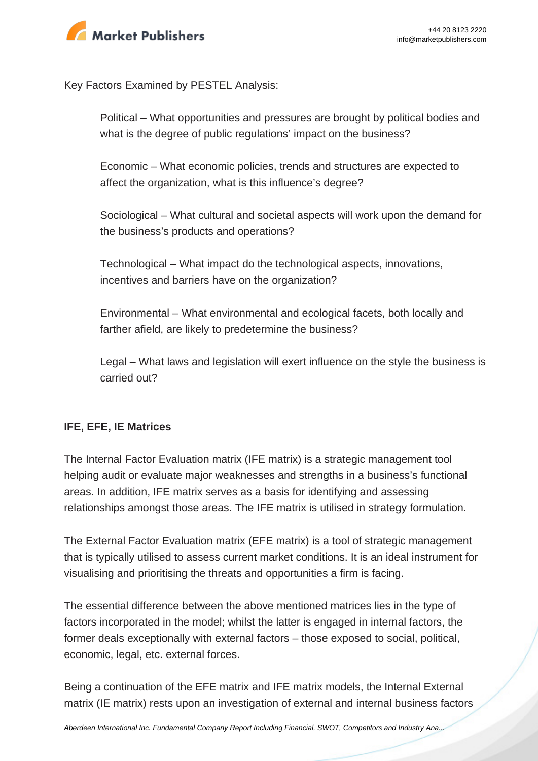

Key Factors Examined by PESTEL Analysis:

Political – What opportunities and pressures are brought by political bodies and what is the degree of public regulations' impact on the business?

Economic – What economic policies, trends and structures are expected to affect the organization, what is this influence's degree?

Sociological – What cultural and societal aspects will work upon the demand for the business's products and operations?

Technological – What impact do the technological aspects, innovations, incentives and barriers have on the organization?

Environmental – What environmental and ecological facets, both locally and farther afield, are likely to predetermine the business?

Legal – What laws and legislation will exert influence on the style the business is carried out?

### **IFE, EFE, IE Matrices**

The Internal Factor Evaluation matrix (IFE matrix) is a strategic management tool helping audit or evaluate major weaknesses and strengths in a business's functional areas. In addition, IFE matrix serves as a basis for identifying and assessing relationships amongst those areas. The IFE matrix is utilised in strategy formulation.

The External Factor Evaluation matrix (EFE matrix) is a tool of strategic management that is typically utilised to assess current market conditions. It is an ideal instrument for visualising and prioritising the threats and opportunities a firm is facing.

The essential difference between the above mentioned matrices lies in the type of factors incorporated in the model; whilst the latter is engaged in internal factors, the former deals exceptionally with external factors – those exposed to social, political, economic, legal, etc. external forces.

Being a continuation of the EFE matrix and IFE matrix models, the Internal External matrix (IE matrix) rests upon an investigation of external and internal business factors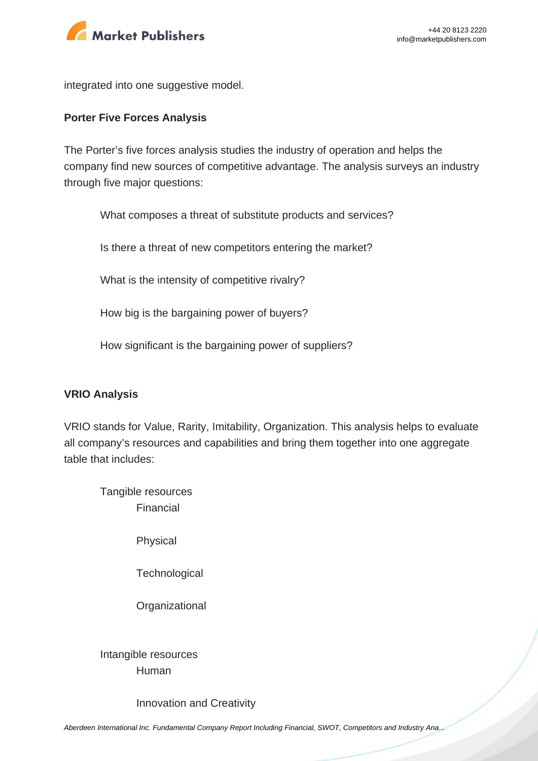

integrated into one suggestive model.

#### **Porter Five Forces Analysis**

The Porter's five forces analysis studies the industry of operation and helps the company find new sources of competitive advantage. The analysis surveys an industry through five major questions:

What composes a threat of substitute products and services?

Is there a threat of new competitors entering the market?

What is the intensity of competitive rivalry?

How big is the bargaining power of buyers?

How significant is the bargaining power of suppliers?

#### **VRIO Analysis**

VRIO stands for Value, Rarity, Imitability, Organization. This analysis helps to evaluate all company's resources and capabilities and bring them together into one aggregate table that includes:

Tangible resources Financial

Physical

**Technological** 

**Organizational** 

Intangible resources Human

Innovation and Creativity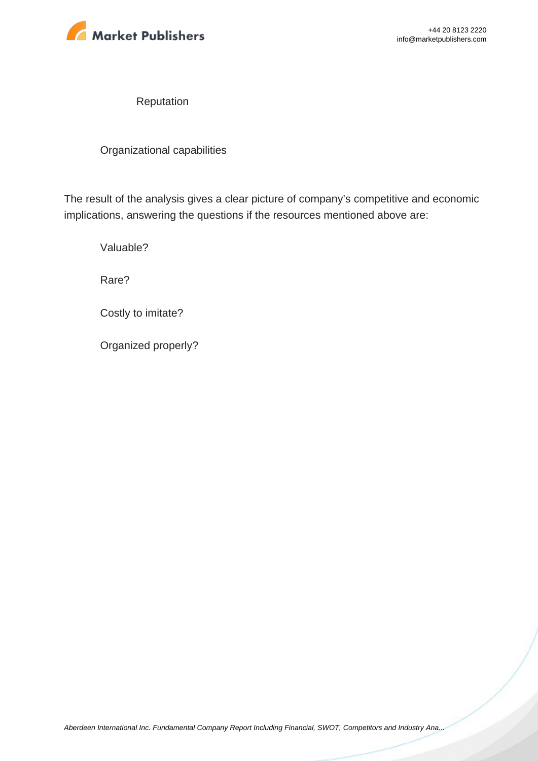

Reputation

Organizational capabilities

The result of the analysis gives a clear picture of company's competitive and economic implications, answering the questions if the resources mentioned above are:

Valuable?

Rare?

Costly to imitate?

Organized properly?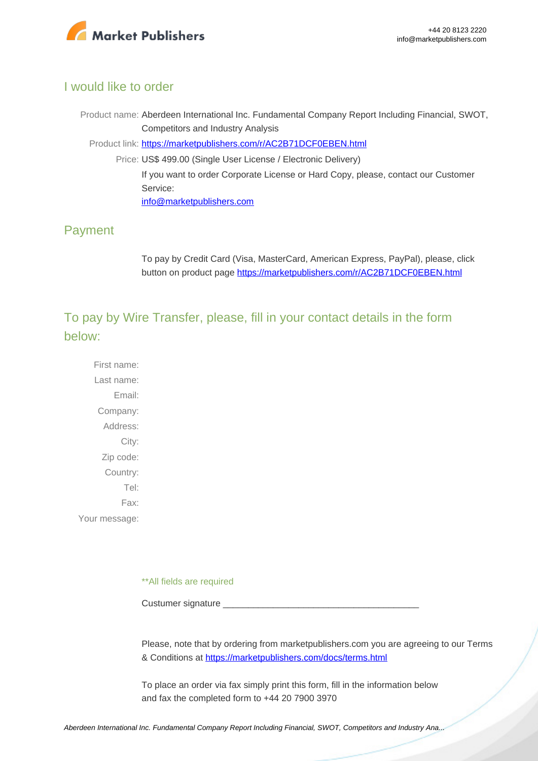

### I would like to order

Product name: Aberdeen International Inc. Fundamental Company Report Including Financial, SWOT, Competitors and Industry Analysis

Product link: [https://marketpublishers.com/r/AC2B71DCF0EBEN.html](https://marketpublishers.com/report/industry/metallurgy/aberdeen_international_inc_swot_analysis_bac.html)

Price: US\$ 499.00 (Single User License / Electronic Delivery) If you want to order Corporate License or Hard Copy, please, contact our Customer Service: [info@marketpublishers.com](mailto:info@marketpublishers.com)

# Payment

To pay by Credit Card (Visa, MasterCard, American Express, PayPal), please, click button on product page [https://marketpublishers.com/r/AC2B71DCF0EBEN.html](https://marketpublishers.com/report/industry/metallurgy/aberdeen_international_inc_swot_analysis_bac.html)

To pay by Wire Transfer, please, fill in your contact details in the form below:

First name: Last name: Email: Company: Address: City: Zip code: Country: Tel: Fax: Your message:

\*\*All fields are required

Custumer signature

Please, note that by ordering from marketpublishers.com you are agreeing to our Terms & Conditions at<https://marketpublishers.com/docs/terms.html>

To place an order via fax simply print this form, fill in the information below and fax the completed form to +44 20 7900 3970